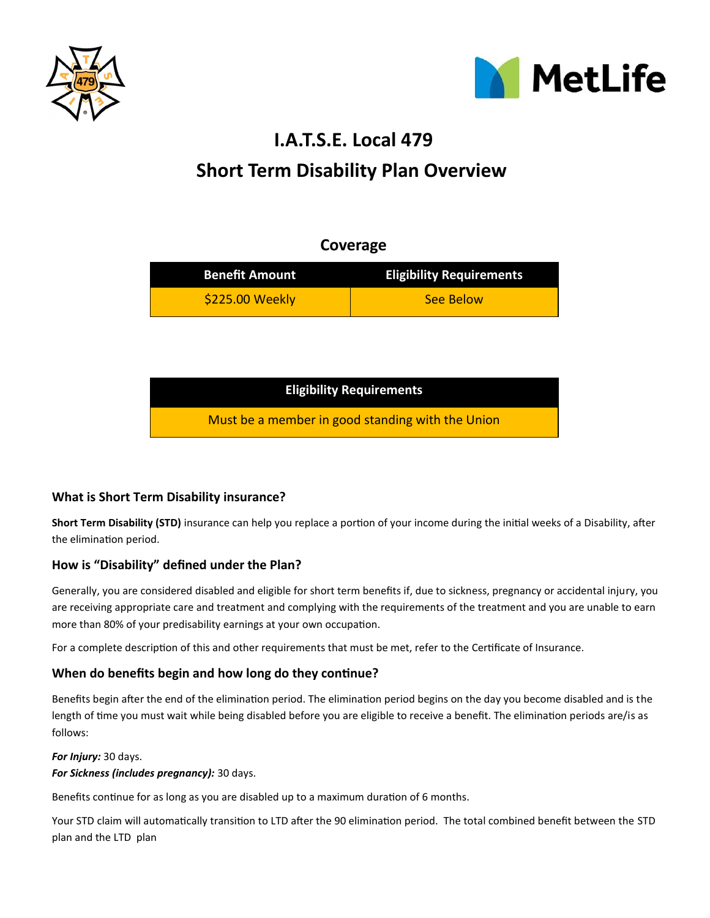



# **Short Term Disability Plan Overview I.A.T.S.E. Local 479**

# **Coverage**

| <b>Benefit Amount</b> | <b>Eligibility Requirements</b> |
|-----------------------|---------------------------------|
| \$225.00 Weekly       | See Below                       |

| <b>Eligibility Requirements</b>                  |  |
|--------------------------------------------------|--|
| Must be a member in good standing with the Union |  |

# **What is Short Term Disability insurance?**

**Short Term Disability (STD)** insurance can help you replace a portion of your income during the initial weeks of a Disability, after the elimination period.

# **How is "Disability" defined under the Plan?**

Generally, you are considered disabled and eligible for short term benefits if, due to sickness, pregnancy or accidental injury, you are receiving appropriate care and treatment and complying with the requirements of the treatment and you are unable to earn more than 80% of your predisability earnings at your own occupation.

For a complete description of this and other requirements that must be met, refer to the Certificate of Insurance.

# **When do benefits begin and how long do they continue?**

Benefits begin after the end of the elimination period. The elimination period begins on the day you become disabled and is the length of time you must wait while being disabled before you are eligible to receive a benefit. The elimination periods are/is as follows:

## *For Injury:* 30 days.

## *For Sickness (includes pregnancy):* 30 days.

Benefits continue for as long as you are disabled up to a maximum duration of 6 months.

Your STD claim will automatically transition to LTD after the 90 elimination period. The total combined benefit between the STD plan and the LTD plan